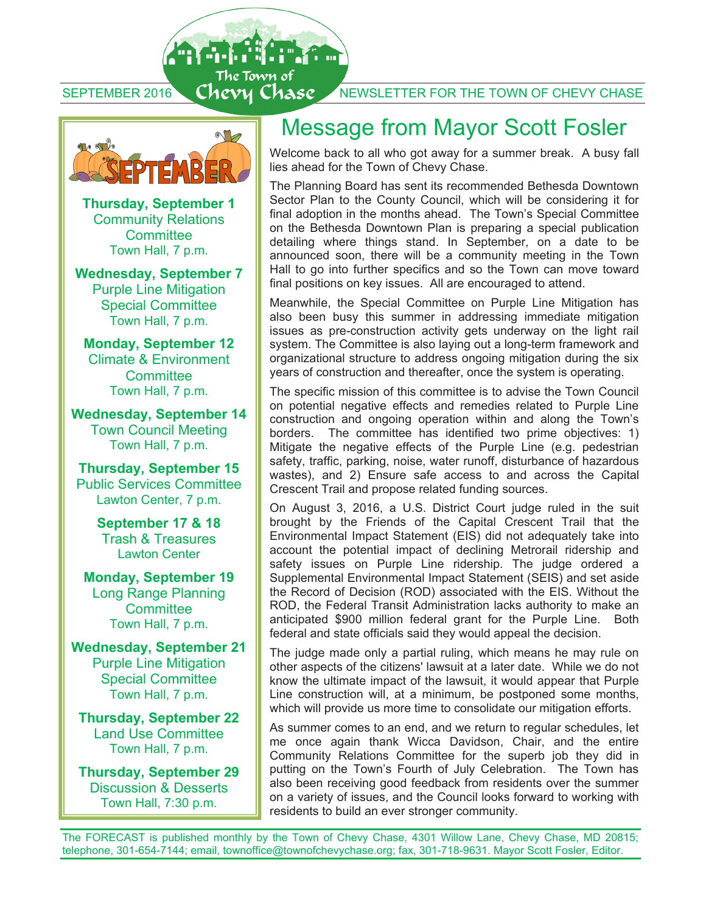SEPTEMBER 2016 CHEVY CHASE NEWSLETTER FOR THE TOWN OF CHEVY CHASE



合品能

The Town of

**Thursday, September 1**  Community Relations **Committee** Town Hall, 7 p.m.

**Wednesday, September 7**  Purple Line Mitigation Special Committee Town Hall, 7 p.m.

**Monday, September 12**  Climate & Environment **Committee** Town Hall, 7 p.m.

**Wednesday, September 14**  Town Council Meeting Town Hall, 7 p.m.

**Thursday, September 15** Public Services Committee Lawton Center, 7 p.m.

> **September 17 & 18**  Trash & Treasures Lawton Center

**Monday, September 19**  Long Range Planning **Committee** Town Hall, 7 p.m.

**Wednesday, September 21**  Purple Line Mitigation Special Committee Town Hall, 7 p.m.

**Thursday, September 22**  Land Use Committee Town Hall, 7 p.m.

**Thursday, September 29**  Discussion & Desserts Town Hall, 7:30 p.m.

## Message from Mayor Scott Fosler

Welcome back to all who got away for a summer break. A busy fall lies ahead for the Town of Chevy Chase.

The Planning Board has sent its recommended Bethesda Downtown Sector Plan to the County Council, which will be considering it for final adoption in the months ahead. The Town's Special Committee on the Bethesda Downtown Plan is preparing a special publication detailing where things stand. In September, on a date to be announced soon, there will be a community meeting in the Town Hall to go into further specifics and so the Town can move toward final positions on key issues. All are encouraged to attend.

Meanwhile, the Special Committee on Purple Line Mitigation has also been busy this summer in addressing immediate mitigation issues as pre-construction activity gets underway on the light rail system. The Committee is also laying out a long-term framework and organizational structure to address ongoing mitigation during the six years of construction and thereafter, once the system is operating.

The specific mission of this committee is to advise the Town Council on potential negative effects and remedies related to Purple Line construction and ongoing operation within and along the Town's borders. The committee has identified two prime objectives: 1) Mitigate the negative effects of the Purple Line (e.g. pedestrian safety, traffic, parking, noise, water runoff, disturbance of hazardous wastes), and 2) Ensure safe access to and across the Capital Crescent Trail and propose related funding sources.

On August 3, 2016, a U.S. District Court judge ruled in the suit brought by the Friends of the Capital Crescent Trail that the Environmental Impact Statement (EIS) did not adequately take into account the potential impact of declining Metrorail ridership and safety issues on Purple Line ridership. The judge ordered a Supplemental Environmental Impact Statement (SEIS) and set aside the Record of Decision (ROD) associated with the EIS. Without the ROD, the Federal Transit Administration lacks authority to make an anticipated \$900 million federal grant for the Purple Line. Both federal and state officials said they would appeal the decision.

The judge made only a partial ruling, which means he may rule on other aspects of the citizens' lawsuit at a later date. While we do not know the ultimate impact of the lawsuit, it would appear that Purple Line construction will, at a minimum, be postponed some months, which will provide us more time to consolidate our mitigation efforts.

As summer comes to an end, and we return to regular schedules, let me once again thank Wicca Davidson, Chair, and the entire Community Relations Committee for the superb job they did in putting on the Town's Fourth of July Celebration. The Town has also been receiving good feedback from residents over the summer on a variety of issues, and the Council looks forward to working with residents to build an ever stronger community.

The FORECAST is published monthly by the Town of Chevy Chase, 4301 Willow Lane, Chevy Chase, MD 20815; telephone, 301-654-7144; email, townoffice@townofchevychase.org; fax, 301-718-9631. Mayor Scott Fosler, Editor.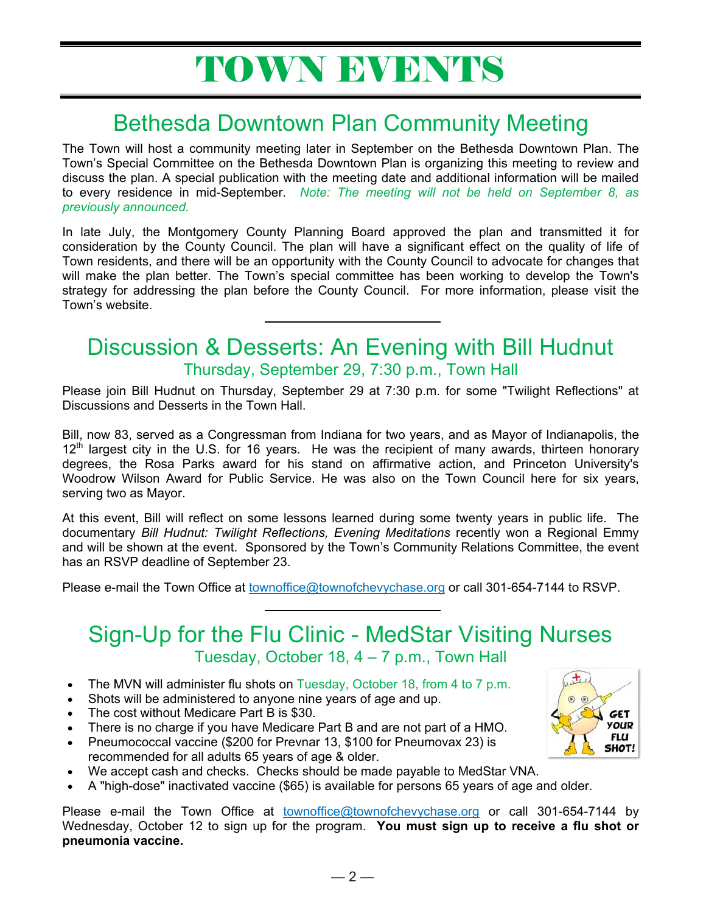# TOWN EVENTS

# Bethesda Downtown Plan Community Meeting

The Town will host a community meeting later in September on the Bethesda Downtown Plan. The Town's Special Committee on the Bethesda Downtown Plan is organizing this meeting to review and discuss the plan. A special publication with the meeting date and additional information will be mailed to every residence in mid-September. *Note: The meeting will not be held on September 8, as previously announced.*

In late July, the Montgomery County Planning Board approved the plan and transmitted it for consideration by the County Council. The plan will have a significant effect on the quality of life of Town residents, and there will be an opportunity with the County Council to advocate for changes that will make the plan better. The Town's special committee has been working to develop the Town's strategy for addressing the plan before the County Council. For more information, please visit the Town's website.

### Discussion & Desserts: An Evening with Bill Hudnut Thursday, September 29, 7:30 p.m., Town Hall

Please join Bill Hudnut on Thursday, September 29 at 7:30 p.m. for some "Twilight Reflections" at Discussions and Desserts in the Town Hall.

Bill, now 83, served as a Congressman from Indiana for two years, and as Mayor of Indianapolis, the 12<sup>th</sup> largest city in the U.S. for 16 years. He was the recipient of many awards, thirteen honorary degrees, the Rosa Parks award for his stand on affirmative action, and Princeton University's Woodrow Wilson Award for Public Service. He was also on the Town Council here for six years, serving two as Mayor.

At this event, Bill will reflect on some lessons learned during some twenty years in public life. The documentary *Bill Hudnut: Twilight Reflections, Evening Meditations* recently won a Regional Emmy and will be shown at the event. Sponsored by the Town's Community Relations Committee, the event has an RSVP deadline of September 23.

Please e-mail the Town Office at townoffice@townofchevychase.org or call 301-654-7144 to RSVP.

### Sign-Up for the Flu Clinic - MedStar Visiting Nurses Tuesday, October 18, 4 – 7 p.m., Town Hall

- The MVN will administer flu shots on Tuesday, October 18, from 4 to 7 p.m.
- Shots will be administered to anyone nine years of age and up.
- The cost without Medicare Part B is \$30.
- There is no charge if you have Medicare Part B and are not part of a HMO.
- Pneumococcal vaccine (\$200 for Prevnar 13, \$100 for Pneumovax 23) is recommended for all adults 65 years of age & older.
- We accept cash and checks. Checks should be made payable to MedStar VNA.
- A "high-dose" inactivated vaccine (\$65) is available for persons 65 years of age and older.

Please e-mail the Town Office at townoffice@townofchevychase.org or call 301-654-7144 by Wednesday, October 12 to sign up for the program. **You must sign up to receive a flu shot or pneumonia vaccine.**

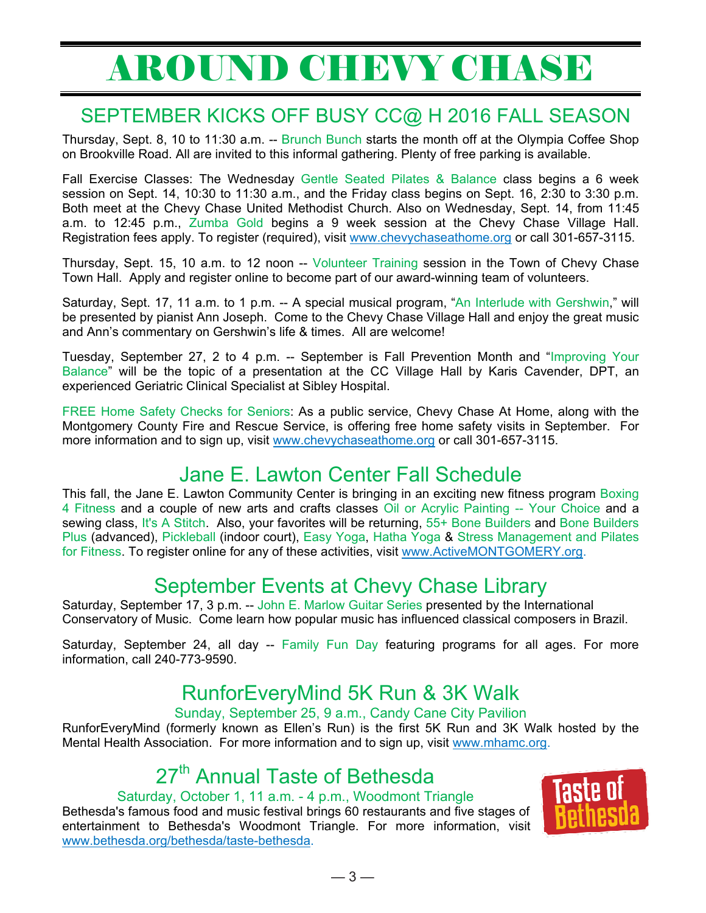# AROUND CHEVY CHASE

### SEPTEMBER KICKS OFF BUSY CC@ H 2016 FALL SEASON

Thursday, Sept. 8, 10 to 11:30 a.m. -- Brunch Bunch starts the month off at the Olympia Coffee Shop on Brookville Road. All are invited to this informal gathering. Plenty of free parking is available.

Fall Exercise Classes: The Wednesday Gentle Seated Pilates & Balance class begins a 6 week session on Sept. 14, 10:30 to 11:30 a.m., and the Friday class begins on Sept. 16, 2:30 to 3:30 p.m. Both meet at the Chevy Chase United Methodist Church. Also on Wednesday, Sept. 14, from 11:45 a.m. to 12:45 p.m., Zumba Gold begins a 9 week session at the Chevy Chase Village Hall. Registration fees apply. To register (required), visit www.chevychaseathome.org or call 301-657-3115.

Thursday, Sept. 15, 10 a.m. to 12 noon -- Volunteer Training session in the Town of Chevy Chase Town Hall. Apply and register online to become part of our award-winning team of volunteers.

Saturday, Sept. 17, 11 a.m. to 1 p.m. -- A special musical program, "An Interlude with Gershwin," will be presented by pianist Ann Joseph. Come to the Chevy Chase Village Hall and enjoy the great music and Ann's commentary on Gershwin's life & times. All are welcome!

Tuesday, September 27, 2 to 4 p.m. -- September is Fall Prevention Month and "Improving Your Balance" will be the topic of a presentation at the CC Village Hall by Karis Cavender, DPT, an experienced Geriatric Clinical Specialist at Sibley Hospital.

FREE Home Safety Checks for Seniors: As a public service, Chevy Chase At Home, along with the Montgomery County Fire and Rescue Service, is offering free home safety visits in September. For more information and to sign up, visit www.chevychaseathome.org or call 301-657-3115.

### Jane E. Lawton Center Fall Schedule

This fall, the Jane E. Lawton Community Center is bringing in an exciting new fitness program Boxing 4 Fitness and a couple of new arts and crafts classes Oil or Acrylic Painting -- Your Choice and a sewing class, It's A Stitch. Also, your favorites will be returning, 55+ Bone Builders and Bone Builders Plus (advanced), Pickleball (indoor court), Easy Yoga, Hatha Yoga & Stress Management and Pilates for Fitness. To register online for any of these activities, visit www.ActiveMONTGOMERY.org.

### September Events at Chevy Chase Library

Saturday, September 17, 3 p.m. -- John E. Marlow Guitar Series presented by the International Conservatory of Music. Come learn how popular music has influenced classical composers in Brazil.

Saturday, September 24, all day -- Family Fun Day featuring programs for all ages. For more information, call 240-773-9590.

## RunforEveryMind 5K Run & 3K Walk

Sunday, September 25, 9 a.m., Candy Cane City Pavilion

RunforEveryMind (formerly known as Ellen's Run) is the first 5K Run and 3K Walk hosted by the Mental Health Association. For more information and to sign up, visit www.mhamc.org.

# 27<sup>th</sup> Annual Taste of Bethesda

#### Saturday, October 1, 11 a.m. - 4 p.m., Woodmont Triangle

Bethesda's famous food and music festival brings 60 restaurants and five stages of entertainment to Bethesda's Woodmont Triangle. For more information, visit www.bethesda.org/bethesda/taste-bethesda.

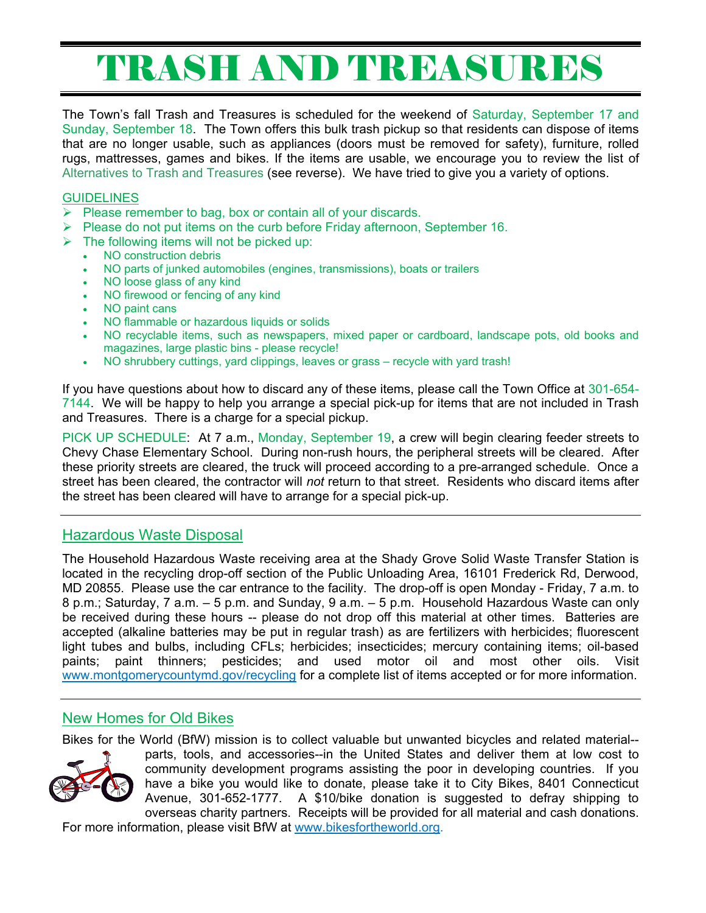# TRASH AND TREASURES

The Town's fall Trash and Treasures is scheduled for the weekend of Saturday, September 17 and Sunday, September 18. The Town offers this bulk trash pickup so that residents can dispose of items that are no longer usable, such as appliances (doors must be removed for safety), furniture, rolled rugs, mattresses, games and bikes. If the items are usable, we encourage you to review the list of Alternatives to Trash and Treasures (see reverse). We have tried to give you a variety of options.

#### **GUIDELINES**

- $\triangleright$  Please remember to bag, box or contain all of your discards.
- $\triangleright$  Please do not put items on the curb before Friday afternoon, September 16.
- $\triangleright$  The following items will not be picked up:
	- NO construction debris
	- NO parts of junked automobiles (engines, transmissions), boats or trailers
	- NO loose glass of any kind
	- NO firewood or fencing of any kind
	- NO paint cans
	- NO flammable or hazardous liquids or solids
	- NO recyclable items, such as newspapers, mixed paper or cardboard, landscape pots, old books and magazines, large plastic bins - please recycle!
	- NO shrubbery cuttings, yard clippings, leaves or grass recycle with yard trash!

If you have questions about how to discard any of these items, please call the Town Office at 301-654- 7144. We will be happy to help you arrange a special pick-up for items that are not included in Trash and Treasures. There is a charge for a special pickup.

PICK UP SCHEDULE: At 7 a.m., Monday, September 19, a crew will begin clearing feeder streets to Chevy Chase Elementary School. During non-rush hours, the peripheral streets will be cleared. After these priority streets are cleared, the truck will proceed according to a pre-arranged schedule. Once a street has been cleared, the contractor will *not* return to that street. Residents who discard items after the street has been cleared will have to arrange for a special pick-up.

#### Hazardous Waste Disposal

The Household Hazardous Waste receiving area at the Shady Grove Solid Waste Transfer Station is located in the recycling drop-off section of the Public Unloading Area, 16101 Frederick Rd, Derwood, MD 20855. Please use the car entrance to the facility. The drop-off is open Monday - Friday, 7 a.m. to 8 p.m.; Saturday, 7 a.m. – 5 p.m. and Sunday, 9 a.m. – 5 p.m. Household Hazardous Waste can only be received during these hours -- please do not drop off this material at other times. Batteries are accepted (alkaline batteries may be put in regular trash) as are fertilizers with herbicides; fluorescent light tubes and bulbs, including CFLs; herbicides; insecticides; mercury containing items; oil-based paints; paint thinners; pesticides; and used motor oil and most other oils. Visit www.montgomerycountymd.gov/recycling for a complete list of items accepted or for more information.

#### New Homes for Old Bikes

Bikes for the World (BfW) mission is to collect valuable but unwanted bicycles and related material--



parts, tools, and accessories--in the United States and deliver them at low cost to community development programs assisting the poor in developing countries. If you have a bike you would like to donate, please take it to City Bikes, 8401 Connecticut Avenue, 301-652-1777. A \$10/bike donation is suggested to defray shipping to overseas charity partners. Receipts will be provided for all material and cash donations.

For more information, please visit BfW at www.bikesfortheworld.org.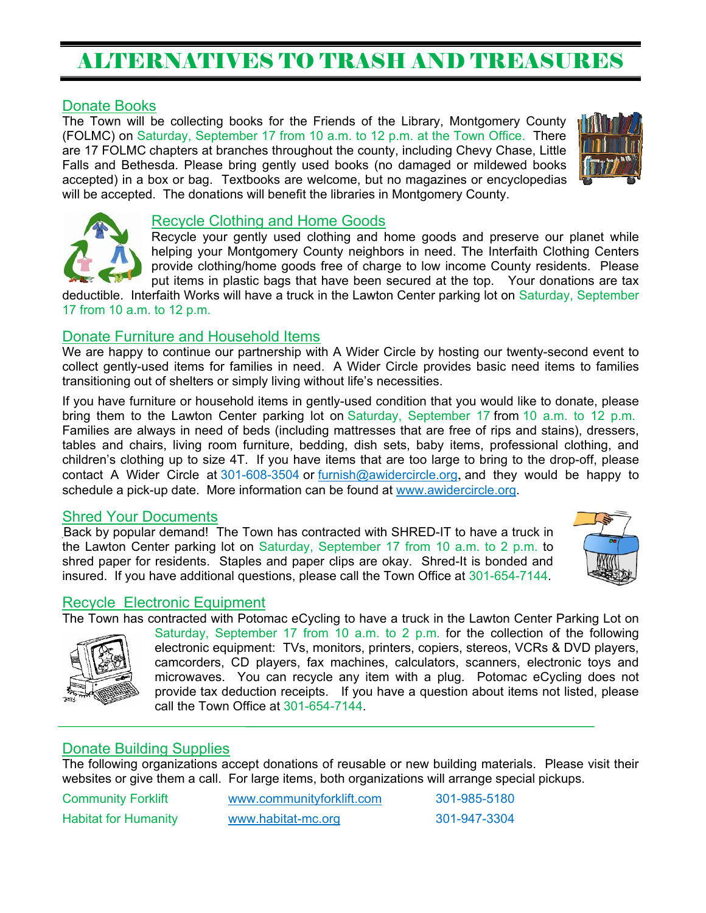## ALTERNATIVES TO TRASH AND TREASURES

#### Donate Books

The Town will be collecting books for the Friends of the Library, Montgomery County (FOLMC) on Saturday, September 17 from 10 a.m. to 12 p.m. at the Town Office. There are 17 FOLMC chapters at branches throughout the county, including Chevy Chase, Little Falls and Bethesda. Please bring gently used books (no damaged or mildewed books accepted) in a box or bag. Textbooks are welcome, but no magazines or encyclopedias will be accepted. The donations will benefit the libraries in Montgomery County.





#### Recycle Clothing and Home Goods

Recycle your gently used clothing and home goods and preserve our planet while helping your Montgomery County neighbors in need. The Interfaith Clothing Centers provide clothing/home goods free of charge to low income County residents. Please put items in plastic bags that have been secured at the top. Your donations are tax

deductible. Interfaith Works will have a truck in the Lawton Center parking lot on Saturday, September 17 from 10 a.m. to 12 p.m.

#### Donate Furniture and Household Items

We are happy to continue our partnership with A Wider Circle by hosting our twenty-second event to collect gently-used items for families in need. A Wider Circle provides basic need items to families transitioning out of shelters or simply living without life's necessities.

If you have furniture or household items in gently-used condition that you would like to donate, please bring them to the Lawton Center parking lot on Saturday, September 17 from 10 a.m. to 12 p.m. Families are always in need of beds (including mattresses that are free of rips and stains), dressers, tables and chairs, living room furniture, bedding, dish sets, baby items, professional clothing, and children's clothing up to size 4T. If you have items that are too large to bring to the drop-off, please contact A Wider Circle at 301-608-3504 or furnish@awidercircle.org, and they would be happy to schedule a pick-up date. More information can be found at www.awidercircle.org.

#### Shred Your Documents

Back by popular demand! The Town has contracted with SHRED-IT to have a truck in the Lawton Center parking lot on Saturday, September 17 from 10 a.m. to 2 p.m. to shred paper for residents. Staples and paper clips are okay. Shred-It is bonded and insured. If you have additional questions, please call the Town Office at 301-654-7144.



#### Recycle Electronic Equipment

The Town has contracted with Potomac eCycling to have a truck in the Lawton Center Parking Lot on



Saturday, September 17 from 10 a.m. to 2 p.m. for the collection of the following electronic equipment: TVs, monitors, printers, copiers, stereos, VCRs & DVD players, camcorders, CD players, fax machines, calculators, scanners, electronic toys and microwaves. You can recycle any item with a plug. Potomac eCycling does not provide tax deduction receipts. If you have a question about items not listed, please call the Town Office at 301-654-7144.

#### Donate Building Supplies

The following organizations accept donations of reusable or new building materials. Please visit their websites or give them a call. For large items, both organizations will arrange special pickups.

Community Forklift www.communityforklift.com 301-985-5180 Habitat for Humanity www.habitat-mc.org 301-947-3304